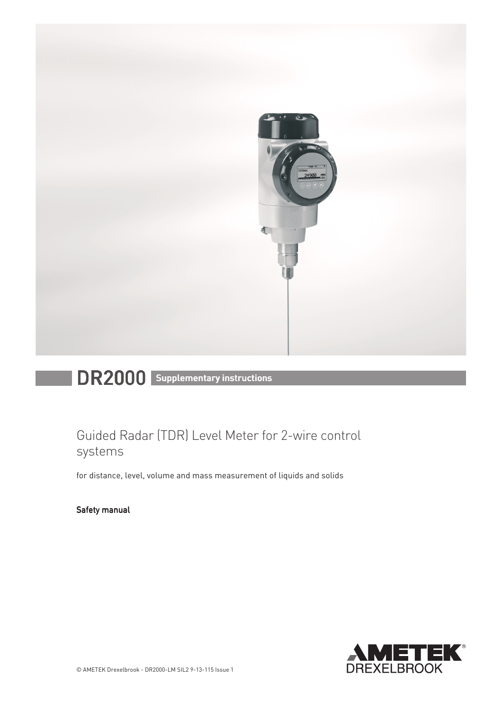

# DR2000 Supplementary instructions

# Guided Radar (TDR) Level Meter for 2-wire control systems

for distance, level, volume and mass measurement of liquids and solids

Safety manual

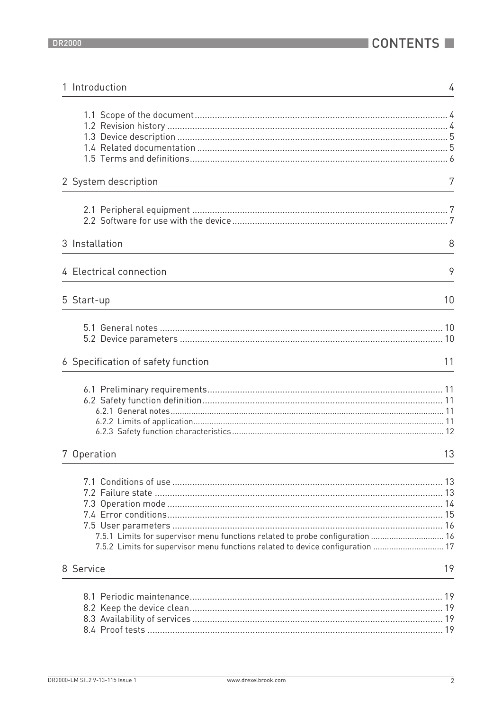| 1 Introduction                                                                                                                                                  | 4  |
|-----------------------------------------------------------------------------------------------------------------------------------------------------------------|----|
|                                                                                                                                                                 |    |
| 2 System description                                                                                                                                            | 7  |
|                                                                                                                                                                 |    |
| 3 Installation                                                                                                                                                  | 8  |
| 4 Electrical connection                                                                                                                                         | 9  |
| 5 Start-up                                                                                                                                                      | 10 |
|                                                                                                                                                                 |    |
| 6 Specification of safety function                                                                                                                              | 11 |
|                                                                                                                                                                 |    |
| 7 Operation                                                                                                                                                     | 13 |
| 7.5.1 Limits for supervisor menu functions related to probe configuration  16<br>7.5.2 Limits for supervisor menu functions related to device configuration  17 |    |
| 8 Service                                                                                                                                                       | 19 |
|                                                                                                                                                                 |    |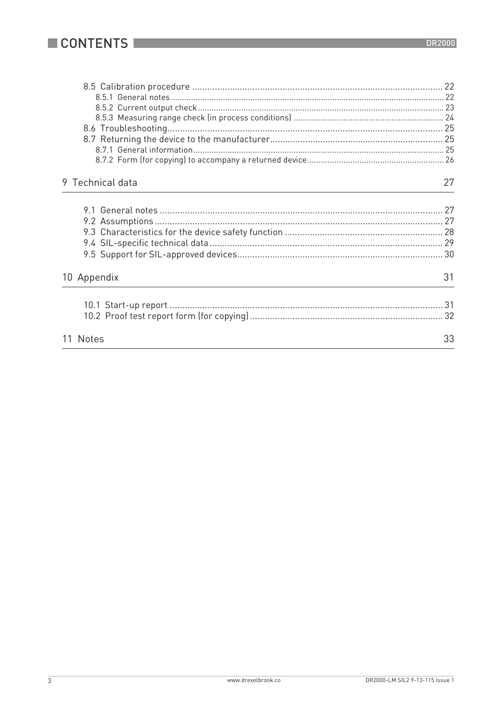| 9 Technical data | 27 |
|------------------|----|
|                  |    |
|                  |    |
|                  |    |
|                  |    |
|                  |    |
|                  |    |
|                  |    |
| 10 Appendix      | 31 |
|                  |    |
|                  |    |
|                  |    |
| 11 Notes         | 33 |
|                  |    |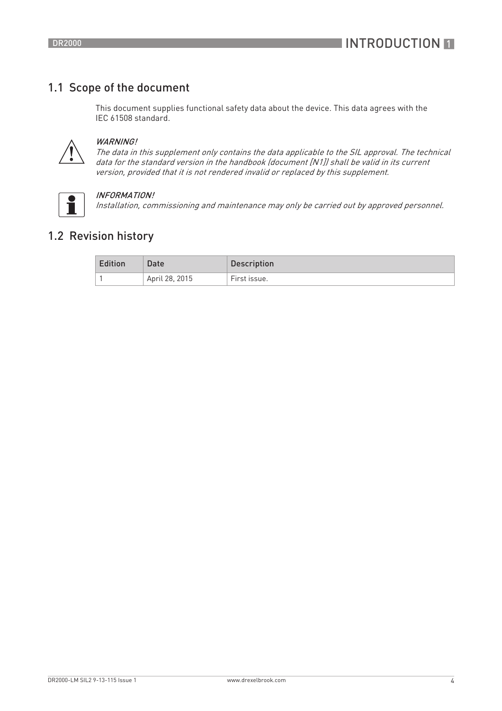## 1.1 Scope of the document

This document supplies functional safety data about the device. This data agrees with the IEC 61508 standard.



#### WARNING!

The data in this supplement only contains the data applicable to the SIL approval. The technical data for the standard version in the handbook (document [N1]) shall be valid in its current version, provided that it is not rendered invalid or replaced by this supplement.



#### INFORMATION!

Installation, commissioning and maintenance may only be carried out by approved personnel.

## 1.2 Revision history

| <b>Edition</b> | Date           | Description  |
|----------------|----------------|--------------|
|                | April 28, 2015 | First issue. |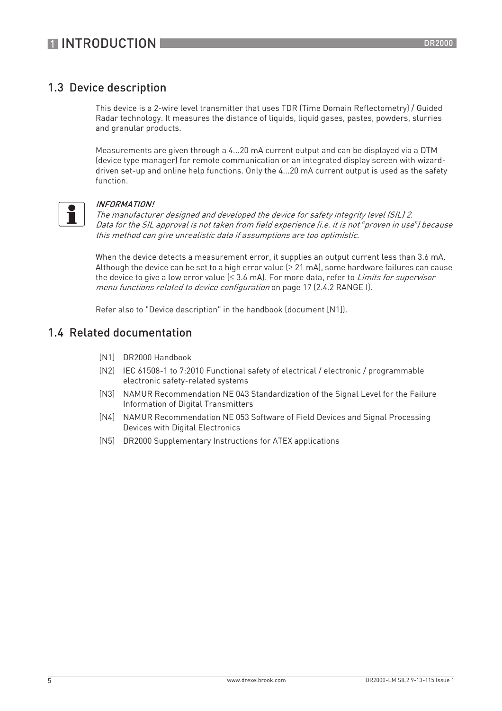## 1.3 Device description

This device is a 2-wire level transmitter that uses TDR (Time Domain Reflectometry) / Guided Radar technology. It measures the distance of liquids, liquid gases, pastes, powders, slurries and granular products.

Measurements are given through a 4...20 mA current output and can be displayed via a DTM (device type manager) for remote communication or an integrated display screen with wizarddriven set-up and online help functions. Only the 4...20 mA current output is used as the safety function.



#### INFORMATION!

The manufacturer designed and developed the device for safety integrity level (SIL) 2. Data for the SIL approval is not taken from field experience (i.e. it is not *"*proven in use*"*) because this method can give unrealistic data if assumptions are too optimistic.

When the device detects a measurement error, it supplies an output current less than 3.6 mA. Although the device can be set to a high error value ( $\geq 21$  mA), some hardware failures can cause the device to give a low error value  $(\leq 3.6 \text{ mA})$ . For more data, refer to *Limits for supervisor* menu functions related to device configuration on page 17 (2.4.2 RANGE I).

Refer also to "Device description" in the handbook (document [N1]).

### 1.4 Related documentation

- [N1] DR2000 Handbook
- [N2] IEC 61508-1 to 7:2010 Functional safety of electrical / electronic / programmable electronic safety-related systems
- [N3] NAMUR Recommendation NE 043 Standardization of the Signal Level for the Failure Information of Digital Transmitters
- [N4] NAMUR Recommendation NE 053 Software of Field Devices and Signal Processing Devices with Digital Electronics
- [N5] DR2000 Supplementary Instructions for ATEX applications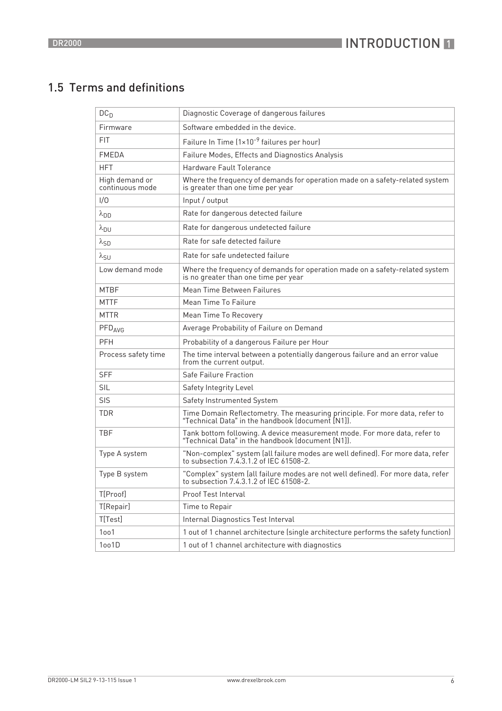## 1.5 Terms and definitions

| DC <sub>D</sub>                   | Diagnostic Coverage of dangerous failures                                                                                     |
|-----------------------------------|-------------------------------------------------------------------------------------------------------------------------------|
| Firmware                          | Software embedded in the device.                                                                                              |
| <b>FIT</b>                        | Failure In Time (1×10 <sup>-9</sup> failures per hour)                                                                        |
| <b>FMEDA</b>                      | Failure Modes, Effects and Diagnostics Analysis                                                                               |
| <b>HFT</b>                        | Hardware Fault Tolerance                                                                                                      |
| High demand or<br>continuous mode | Where the frequency of demands for operation made on a safety-related system<br>is greater than one time per year             |
| 1/0                               | Input / output                                                                                                                |
| $\lambda_{DD}$                    | Rate for dangerous detected failure                                                                                           |
| $\lambda_{DU}$                    | Rate for dangerous undetected failure                                                                                         |
| $\lambda_{SD}$                    | Rate for safe detected failure                                                                                                |
| $\lambda_{\text{SU}}$             | Rate for safe undetected failure                                                                                              |
| Low demand mode                   | Where the frequency of demands for operation made on a safety-related system<br>is no greater than one time per year          |
| <b>MTBF</b>                       | Mean Time Between Failures                                                                                                    |
| <b>MTTF</b>                       | Mean Time To Failure                                                                                                          |
| <b>MTTR</b>                       | Mean Time To Recovery                                                                                                         |
| $PFD_{AVG}$                       | Average Probability of Failure on Demand                                                                                      |
| PFH                               | Probability of a dangerous Failure per Hour                                                                                   |
| Process safety time               | The time interval between a potentially dangerous failure and an error value<br>from the current output.                      |
| <b>SFF</b>                        | Safe Failure Fraction                                                                                                         |
| <b>SIL</b>                        | Safety Integrity Level                                                                                                        |
| <b>SIS</b>                        | Safety Instrumented System                                                                                                    |
| <b>TDR</b>                        | Time Domain Reflectometry. The measuring principle. For more data, refer to "Technical Data" in the handbook (document [N1]). |
| <b>TBF</b>                        | Tank bottom following. A device measurement mode. For more data, refer to "Technical Data" in the handbook (document [N1]).   |
| Type A system                     | "Non-complex" system (all failure modes are well defined). For more data, refer to subsection 7.4.3.1.2 of IEC 61508-2.       |
| Type B system                     | "Complex" system (all failure modes are not well defined). For more data, refer<br>to subsection 7.4.3.1.2 of IEC 61508-2.    |
| T[Proof]                          | Proof Test Interval                                                                                                           |
| T[Repair]                         | Time to Repair                                                                                                                |
| T[Test]                           | Internal Diagnostics Test Interval                                                                                            |
| 1001                              | 1 out of 1 channel architecture (single architecture performs the safety function)                                            |
| 1oo1D                             | 1 out of 1 channel architecture with diagnostics                                                                              |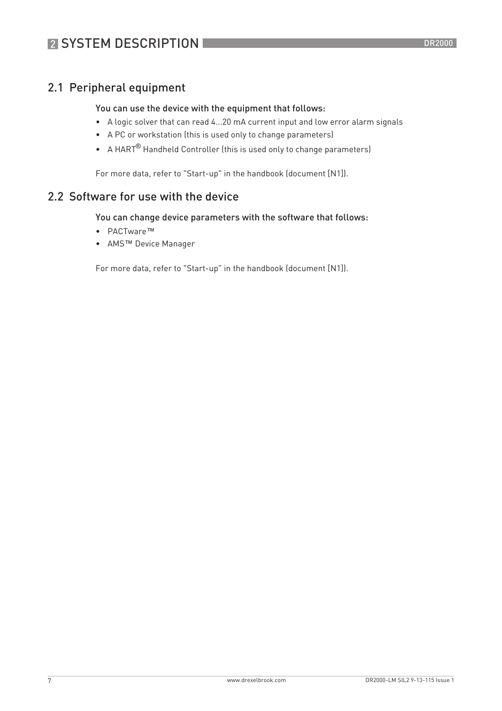## 2.1 Peripheral equipment

#### You can use the device with the equipment that follows:

- A logic solver that can read 4...20 mA current input and low error alarm signals
- A PC or workstation (this is used only to change parameters)
- A HART® Handheld Controller (this is used only to change parameters)

For more data, refer to "Start-up" in the handbook (document [N1]).

## 2.2 Software for use with the device

#### You can change device parameters with the software that follows:

- PACTware™
- AMS™ Device Manager

For more data, refer to "Start-up" in the handbook (document [N1]).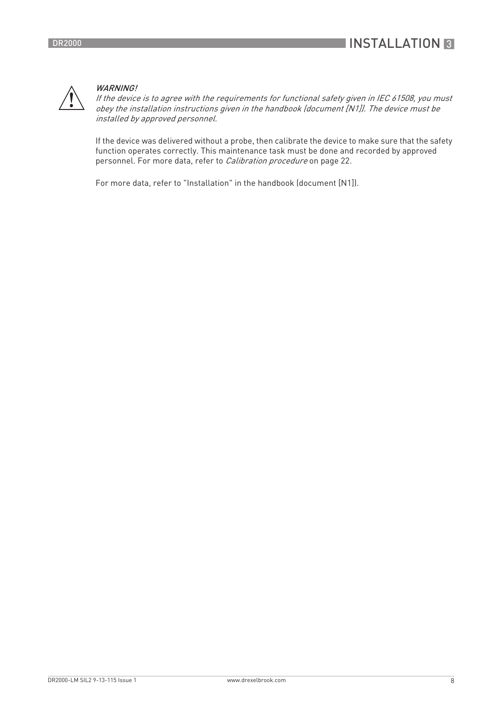

#### WARNING!

If the device is to agree with the requirements for functional safety given in IEC 61508, you must obey the installation instructions given in the handbook (document [N1]). The device must be installed by approved personnel.

If the device was delivered without a probe, then calibrate the device to make sure that the safety function operates correctly. This maintenance task must be done and recorded by approved personnel. For more data, refer to *Calibration procedure* on page 22.

For more data, refer to "Installation" in the handbook (document [N1]).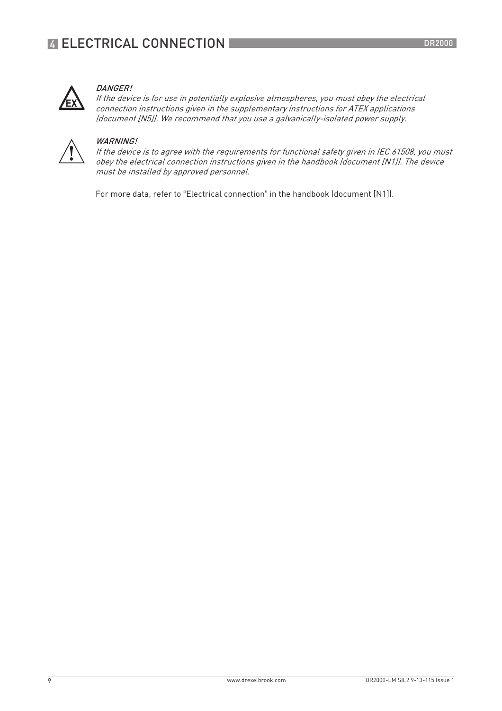

#### DANGER!

If the device is for use in potentially explosive atmospheres, you must obey the electrical connection instructions given in the supplementary instructions for ATEX applications (document [N5]). We recommend that you use a galvanically-isolated power supply.



#### WARNING!

If the device is to agree with the requirements for functional safety given in IEC 61508, you must obey the electrical connection instructions given in the handbook (document [N1]). The device must be installed by approved personnel.

For more data, refer to "Electrical connection" in the handbook (document [N1]).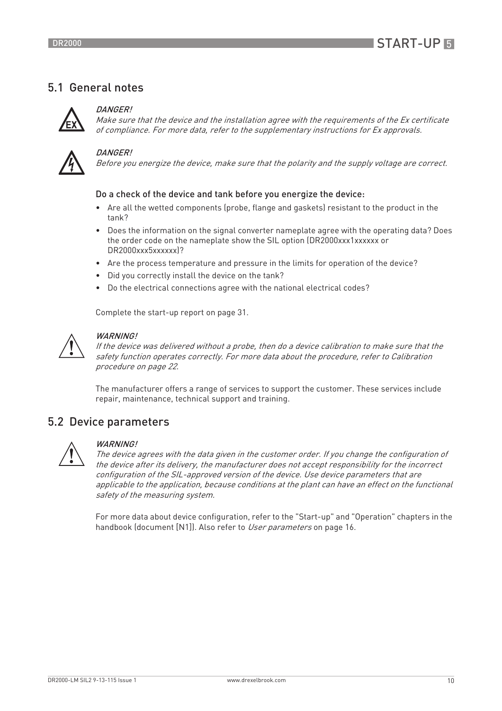## 5.1 General notes



#### DANGER!

Make sure that the device and the installation agree with the requirements of the Ex certificate of compliance. For more data, refer to the supplementary instructions for Ex approvals.



#### DANGER!

Before you energize the device, make sure that the polarity and the supply voltage are correct.

#### Do a check of the device and tank before you energize the device:

- Are all the wetted components (probe, flange and gaskets) resistant to the product in the tank?
- Does the information on the signal converter nameplate agree with the operating data? Does the order code on the nameplate show the SIL option (DR2000xxx1xxxxxx or DR2000xxx5xxxxxxl?
- Are the process temperature and pressure in the limits for operation of the device?
- Did you correctly install the device on the tank?
- Do the electrical connections agree with the national electrical codes?

Complete the start-up report on page 31.



#### WARNING!

If the device was delivered without a probe, then do a device calibration to make sure that the safety function operates correctly. For more data about the procedure, refer to Calibration procedure on page 22.

The manufacturer offers a range of services to support the customer. These services include repair, maintenance, technical support and training.

### 5.2 Device parameters



#### WARNING!

The device agrees with the data given in the customer order. If you change the configuration of the device after its delivery, the manufacturer does not accept responsibility for the incorrect configuration of the SIL-approved version of the device. Use device parameters that are applicable to the application, because conditions at the plant can have an effect on the functional safety of the measuring system.

For more data about device configuration, refer to the "Start-up" and "Operation" chapters in the handbook (document [N1]). Also refer to User parameters on page 16.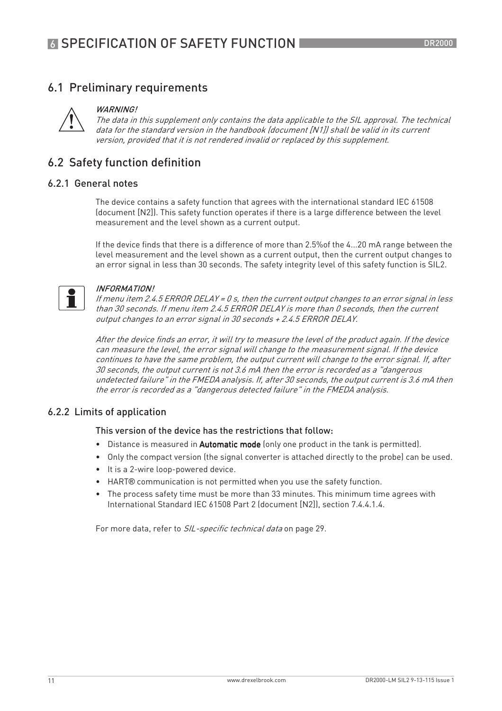## 6.1 Preliminary requirements



#### WARNING!

The data in this supplement only contains the data applicable to the SIL approval. The technical data for the standard version in the handbook (document [N1]) shall be valid in its current version, provided that it is not rendered invalid or replaced by this supplement.

## 6.2 Safety function definition

#### 6.2.1 General notes

The device contains a safety function that agrees with the international standard IEC 61508 (document [N2]). This safety function operates if there is a large difference between the level measurement and the level shown as a current output.

If the device finds that there is a difference of more than 2.5%of the 4...20 mA range between the level measurement and the level shown as a current output, then the current output changes to an error signal in less than 30 seconds. The safety integrity level of this safety function is SIL2.



#### INFORMATION!

If menu item 2.4.5 ERROR DELAY = 0 s, then the current output changes to an error signal in less than 30 seconds. If menu item 2.4.5 ERROR DELAY is more than 0 seconds, then the current output changes to an error signal in 30 seconds + 2.4.5 ERROR DELAY.

After the device finds an error, it will try to measure the level of the product again. If the device can measure the level, the error signal will change to the measurement signal. If the device continues to have the same problem, the output current will change to the error signal. If, after 30 seconds, the output current is not 3.6 mA then the error is recorded as a "dangerous undetected failure" in the FMEDA analysis. If, after 30 seconds, the output current is 3.6 mA then the error is recorded as a "dangerous detected failure" in the FMEDA analysis.

#### 6.2.2 Limits of application

#### This version of the device has the restrictions that follow:

- Distance is measured in Automatic mode (only one product in the tank is permitted).
- Only the compact version (the signal converter is attached directly to the probe) can be used.
- It is a 2-wire loop-powered device.
- HART® communication is not permitted when you use the safety function.
- The process safety time must be more than 33 minutes. This minimum time agrees with International Standard IEC 61508 Part 2 (document [N2]), section 7.4.4.1.4.

For more data, refer to SIL-specific technical data on page 29.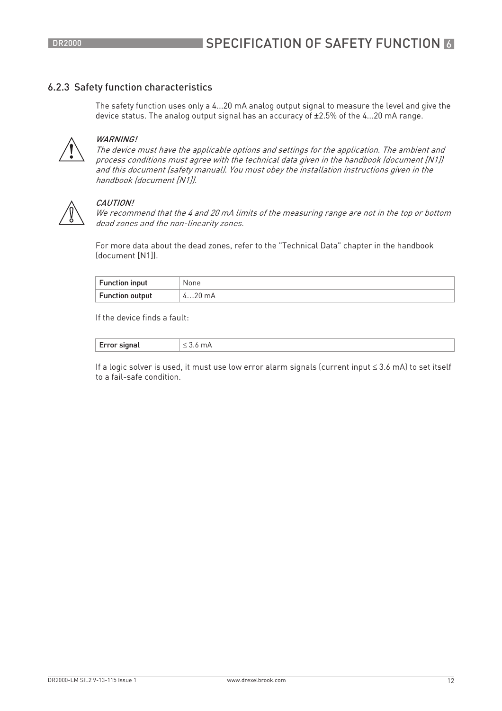#### 6.2.3 Safety function characteristics

The safety function uses only a 4...20 mA analog output signal to measure the level and give the device status. The analog output signal has an accuracy of ±2.5% of the 4...20 mA range.



#### WARNING!

The device must have the applicable options and settings for the application. The ambient and process conditions must agree with the technical data given in the handbook (document [N1]) and this document (safety manual). You must obey the installation instructions given in the handbook (document [N1]).



#### CAUTION!

We recommend that the 4 and 20 mA limits of the measuring range are not in the top or bottom dead zones and the non-linearity zones.

For more data about the dead zones, refer to the "Technical Data" chapter in the handbook (document [N1]).

| <b>Function input</b>  | None            |
|------------------------|-----------------|
| <b>Function output</b> | חר<br>mA<br>4ZU |

If the device finds a fault:

| $\overline{\phantom{a}}$<br>.<br>.<br>$\sim$ $\sim$ | . |
|-----------------------------------------------------|---|
|-----------------------------------------------------|---|

If a logic solver is used, it must use low error alarm signals (current input ≤ 3.6 mA) to set itself to a fail-safe condition.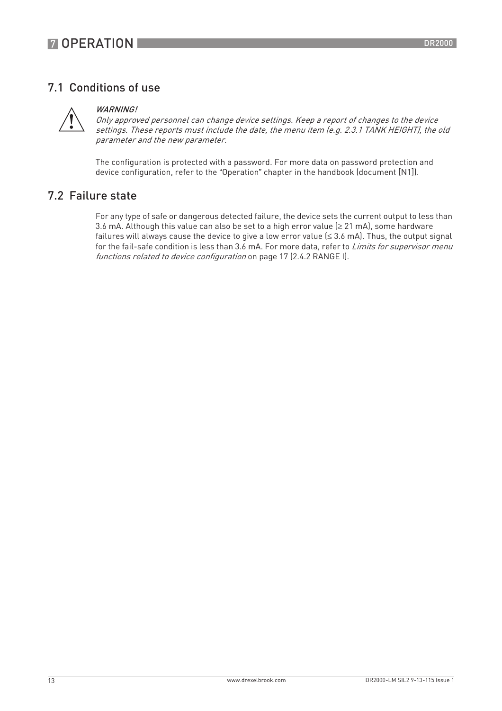## 7.1 Conditions of use



#### WARNING<sup>I</sup>

Only approved personnel can change device settings. Keep a report of changes to the device settings. These reports must include the date, the menu item (e.g. 2.3.1 TANK HEIGHT), the old parameter and the new parameter.

The configuration is protected with a password. For more data on password protection and device configuration, refer to the "Operation" chapter in the handbook (document [N1]).

### 7.2 Failure state

For any type of safe or dangerous detected failure, the device sets the current output to less than 3.6 mA. Although this value can also be set to a high error value ( $\geq$  21 mA), some hardware failures will always cause the device to give a low error value  $(\leq 3.6 \text{ mA})$ . Thus, the output signal for the fail-safe condition is less than 3.6 mA. For more data, refer to *Limits for supervisor menu* functions related to device configuration on page 17 (2.4.2 RANGE I).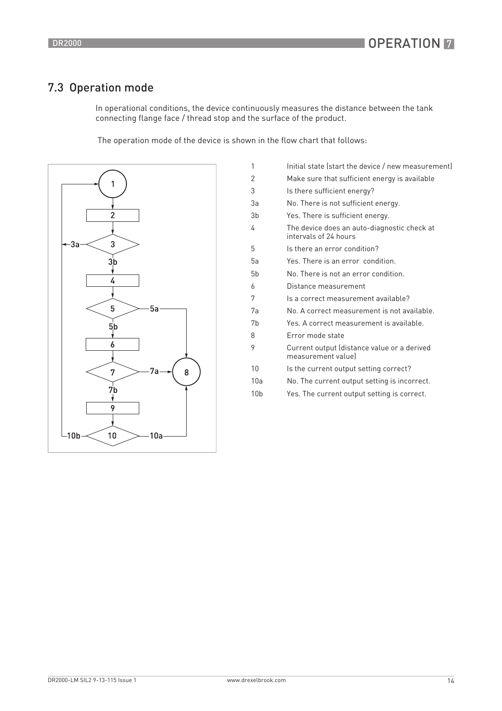## 7.3 Operation mode

In operational conditions, the device continuously measures the distance between the tank connecting flange face / thread stop and the surface of the product.

The operation mode of the device is shown in the flow chart that follows:



| 1               | Initial state (start the device / new measurement)                   |
|-----------------|----------------------------------------------------------------------|
| 2               | Make sure that sufficient energy is available                        |
| 3               | Is there sufficient energy?                                          |
| 3a              | No. There is not sufficient energy.                                  |
| 3 <sub>b</sub>  | Yes. There is sufficient energy.                                     |
| 4               | The device does an auto-diagnostic check at<br>intervals of 24 hours |
| 5               | Is there an error condition?                                         |
| 5a              | Yes. There is an error condition.                                    |
| 5 <sub>b</sub>  | No. There is not an error condition.                                 |
| 6               | Distance measurement                                                 |
| 7               | Is a correct measurement available?                                  |
| 7a              | No. A correct measurement is not available.                          |
| 7 <sub>b</sub>  | Yes. A correct measurement is available.                             |
| 8               | Frror mode state                                                     |
| 9               | Current output (distance value or a derived<br>measurement valuel    |
| 10              | Is the current output setting correct?                               |
| 10a             | No. The current output setting is incorrect.                         |
| 10 <sub>b</sub> | Yes. The current output setting is correct.                          |
|                 |                                                                      |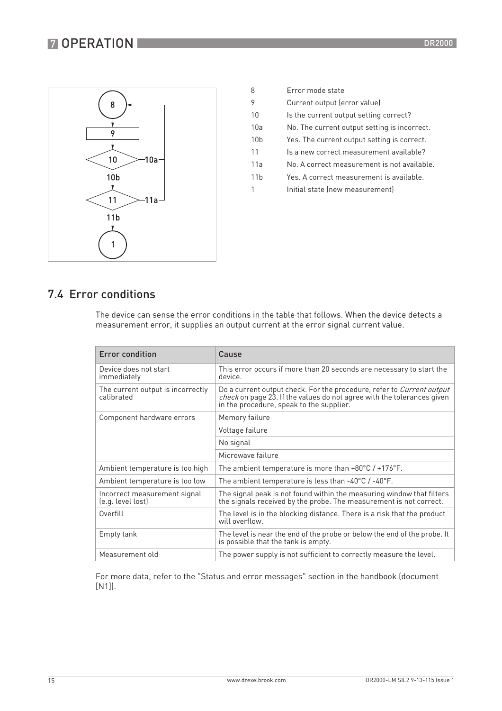## **7 OPERATION**



| 8               | Frror mode state                             |
|-----------------|----------------------------------------------|
| 9               | Current output (error value)                 |
| 10              | Is the current output setting correct?       |
| 10a             | No. The current output setting is incorrect. |
| 10 <sub>b</sub> | Yes. The current output setting is correct.  |
| 11              | ls a new correct measurement available?      |
| 11a             | No. A correct measurement is not available.  |
| 11h             | Yes. A correct measurement is available.     |
|                 | Initial state (new measurement)              |
|                 |                                              |

## 7.4 Error conditions

The device can sense the error conditions in the table that follows. When the device detects a measurement error, it supplies an output current at the error signal current value.

| Error condition                                   | Cause                                                                                                                                                                                              |
|---------------------------------------------------|----------------------------------------------------------------------------------------------------------------------------------------------------------------------------------------------------|
| Device does not start<br>immediately              | This error occurs if more than 20 seconds are necessary to start the<br>device.                                                                                                                    |
| The current output is incorrectly<br>calibrated   | Do a current output check. For the procedure, refer to Current output<br><i>check</i> on page 23. If the values do not agree with the tolerances given<br>in the procedure, speak to the supplier. |
| Component hardware errors                         | Memory failure                                                                                                                                                                                     |
|                                                   | Voltage failure                                                                                                                                                                                    |
|                                                   | No signal                                                                                                                                                                                          |
|                                                   | Microwave failure                                                                                                                                                                                  |
| Ambient temperature is too high                   | The ambient temperature is more than $+80^{\circ}$ C / $+176^{\circ}$ F.                                                                                                                           |
| Ambient temperature is too low                    | The ambient temperature is less than $-40^{\circ}$ C / $-40^{\circ}$ F.                                                                                                                            |
| Incorrect measurement signal<br>(e.g. level lost) | The signal peak is not found within the measuring window that filters<br>the signals received by the probe. The measurement is not correct.                                                        |
| Overfill                                          | The level is in the blocking distance. There is a risk that the product<br>will overflow.                                                                                                          |
| Empty tank                                        | The level is near the end of the probe or below the end of the probe. It<br>is possible that the tank is empty.                                                                                    |
| Measurement old                                   | The power supply is not sufficient to correctly measure the level.                                                                                                                                 |

For more data, refer to the "Status and error messages" section in the handbook (document [N1]).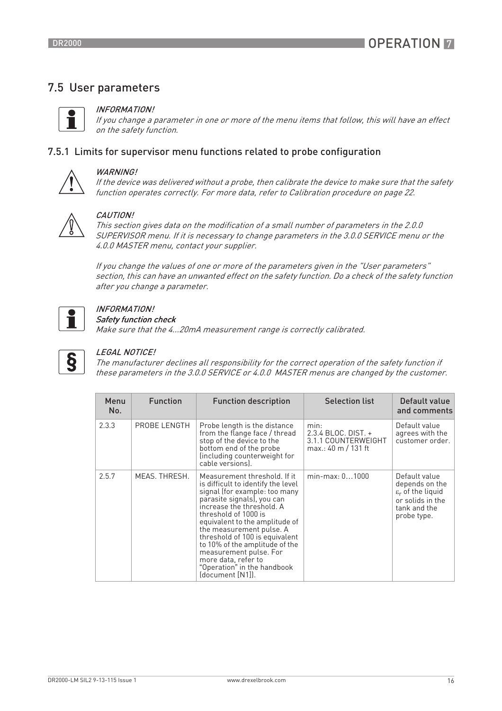## 7.5 User parameters



#### INFORMATION!

If you change a parameter in one or more of the menu items that follow, this will have an effect on the safety function.

#### 7.5.1 Limits for supervisor menu functions related to probe configuration



#### WARNING!

If the device was delivered without a probe, then calibrate the device to make sure that the safety function operates correctly. For more data, refer to Calibration procedure on page 22.



#### CAUTION!

This section gives data on the modification of a small number of parameters in the 2.0.0 SUPERVISOR menu. If it is necessary to change parameters in the 3.0.0 SERVICE menu or the 4.0.0 MASTER menu, contact your supplier.

If you change the values of one or more of the parameters given in the "User parameters" section, this can have an unwanted effect on the safety function. Do a check of the safety function after you change a parameter.



## INFORMATION!

Safety function check

Make sure that the 4...20mA measurement range is correctly calibrated.



#### LEGAL NOTICE!

The manufacturer declines all responsibility for the correct operation of the safety function if these parameters in the 3.0.0 SERVICE or 4.0.0 MASTER menus are changed by the customer.

| Menu<br>No. | <b>Function</b> | <b>Function description</b>                                                                                                                                                                                                                                                                                                                                                                                                  | <b>Selection list</b>                                                         | Default value<br>and comments                                                                                       |
|-------------|-----------------|------------------------------------------------------------------------------------------------------------------------------------------------------------------------------------------------------------------------------------------------------------------------------------------------------------------------------------------------------------------------------------------------------------------------------|-------------------------------------------------------------------------------|---------------------------------------------------------------------------------------------------------------------|
| 2.3.3       | PROBE LENGTH    | Probe length is the distance<br>from the flange face / thread<br>stop of the device to the<br>bottom end of the probe<br>(including counterweight for<br>cable versions).                                                                                                                                                                                                                                                    | min:<br>$2.3.4$ BLOC, DIST, $+$<br>3.1.1 COUNTERWEIGHT<br>max.: 40 m / 131 ft | Default value<br>agrees with the<br>customer order.                                                                 |
| 2.5.7       | MEAS. THRESH.   | Measurement threshold. If it<br>is difficult to identify the level<br>signal (for example: too many<br>parasite signals), you can<br>increase the threshold. A<br>threshold of 1000 is<br>equivalent to the amplitude of<br>the measurement pulse. A<br>threshold of 100 is equivalent<br>to 10% of the amplitude of the<br>measurement pulse. For<br>more data, refer to<br>"Operation" in the handbook<br>(document [N1]). | $min-max: 01000$                                                              | Default value<br>depends on the<br>$\varepsilon_r$ of the liquid<br>or solids in the<br>tank and the<br>probe type. |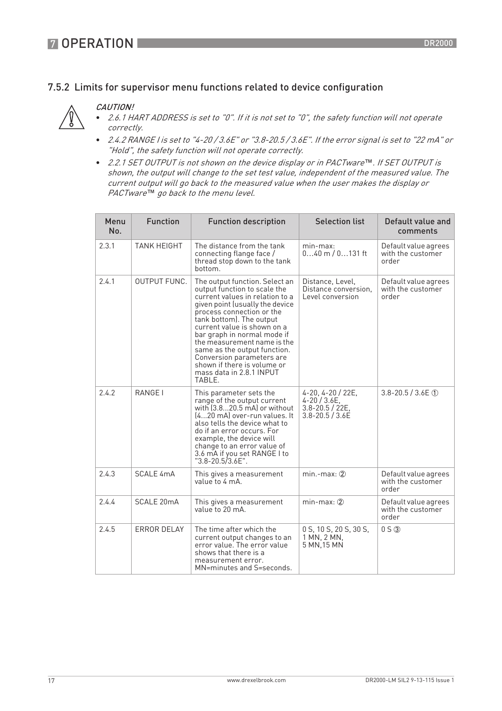### 7.5.2 Limits for supervisor menu functions related to device configuration

#### CAUTION!



- 2.6.1 HART ADDRESS is set to "0". If it is not set to "0", the safety function will not operate correctly.
- 2.4.2 RANGE I is set to "4-20 / 3.6E" or "3.8-20.5 / 3.6E". If the error signal is set to "22 mA" or "Hold", the safety function will not operate correctly.
- 2.2.1 SET OUTPUT is not shown on the device display or in PACTware*™*. If SET OUTPUT is shown, the output will change to the set test value, independent of the measured value. The current output will go back to the measured value when the user makes the display or PACTware*™* go back to the menu level.

| Menu<br>No. | <b>Function</b>     | <b>Function description</b>                                                                                                                                                                                                                                                                                                                                                                                                  | <b>Selection list</b>                                                             | Default value and<br>comments                      |
|-------------|---------------------|------------------------------------------------------------------------------------------------------------------------------------------------------------------------------------------------------------------------------------------------------------------------------------------------------------------------------------------------------------------------------------------------------------------------------|-----------------------------------------------------------------------------------|----------------------------------------------------|
| 2.3.1       | <b>TANK HEIGHT</b>  | The distance from the tank<br>connecting flange face /<br>thread stop down to the tank<br>bottom.                                                                                                                                                                                                                                                                                                                            | min-max:<br>$040$ m $/ 0131$ ft                                                   | Default value agrees<br>with the customer<br>order |
| 2.4.1       | <b>OUTPUT FUNC.</b> | The output function. Select an<br>output function to scale the<br>current values in relation to a<br>given point (usually the device<br>process connection or the<br>tank bottom). The output<br>current value is shown on a<br>bar graph in normal mode if<br>the measurement name is the<br>same as the output function.<br>Conversion parameters are<br>shown if there is volume or<br>mass data in 2.8.1 INPUT<br>TABLE. | Distance, Level,<br>Distance conversion.<br>Level conversion                      | Default value agrees<br>with the customer<br>order |
| 2.4.2       | RANGE I             | This parameter sets the<br>range of the output current<br>with $(3.820.5 \text{ mA})$ or without<br>(420 mA) over-run values. It<br>also tells the device what to<br>do if an error occurs. For<br>example, the device will<br>change to an error value of<br>3.6 mA if you set RANGE I to<br>"3.8-20.5/3.6E".                                                                                                               | 4-20, 4-20 / 22E,<br>$4 - 20 / 3.6E$<br>$3.8 - 20.5 / 22E$<br>$3.8 - 20.5 / 3.6E$ | $3.8 - 20.5 / 3.6E$ ①                              |
| 2.4.3       | SCALE 4mA           | This gives a measurement<br>value to 4 mA.                                                                                                                                                                                                                                                                                                                                                                                   | $min$ -max: $@$                                                                   | Default value agrees<br>with the customer<br>order |
| 2.4.4       | SCALE 20mA          | This gives a measurement<br>value to 20 mA.                                                                                                                                                                                                                                                                                                                                                                                  | $min-max: (2)$                                                                    | Default value agrees<br>with the customer<br>order |
| 2.4.5       | <b>ERROR DELAY</b>  | The time after which the<br>current output changes to an<br>error value. The error value<br>shows that there is a<br>measurement error.<br>MN=minutes and S=seconds.                                                                                                                                                                                                                                                         | 0 S, 10 S, 20 S, 30 S,<br>1 MN, 2 MN,<br>5 MN, 15 MN                              | $0 S$ $\odot$                                      |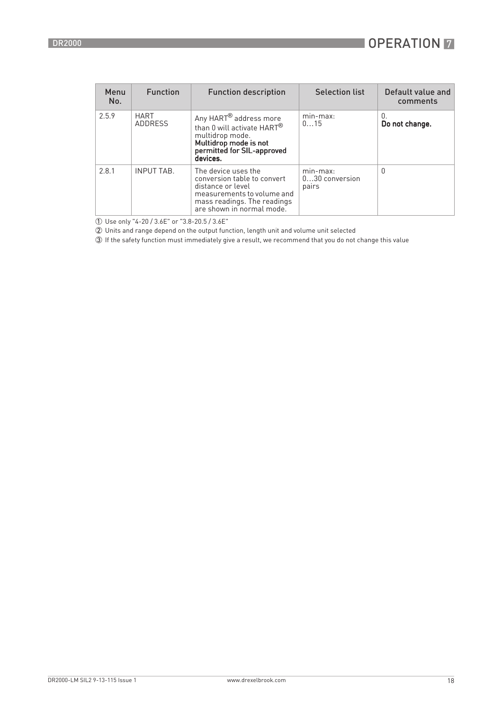| Menu<br>No. | <b>Function</b>               | <b>Function description</b>                                                                                                                                        | <b>Selection list</b>                   | Default value and<br>comments |
|-------------|-------------------------------|--------------------------------------------------------------------------------------------------------------------------------------------------------------------|-----------------------------------------|-------------------------------|
| 2.5.9       | <b>HART</b><br><b>ADDRESS</b> | Any HART <sup>®</sup> address more<br>than 0 will activate HART <sup>®</sup><br>multidrop mode.<br>Multidrop mode is not<br>permitted for SIL-approved<br>devices. | min-max:<br>015                         | 0.<br>Do not change.          |
| 2.8.1       | <b>INPUT TAB.</b>             | The device uses the<br>conversion table to convert<br>distance or level<br>measurements to volume and<br>mass readings. The readings<br>are shown in normal mode.  | $min-max:$<br>$030$ conversion<br>pairs | <sup>0</sup>                  |

1 Use only "4-20 / 3.6E" or "3.8-20.5 / 3.6E"

2 Units and range depend on the output function, length unit and volume unit selected

3 If the safety function must immediately give a result, we recommend that you do not change this value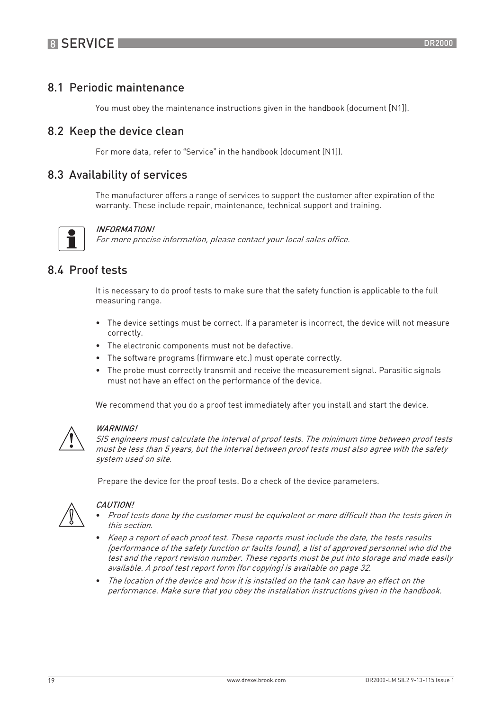## 8.1 Periodic maintenance

You must obey the maintenance instructions given in the handbook (document [N1]).

### 8.2 Keep the device clean

For more data, refer to "Service" in the handbook (document [N1]).

### 8.3 Availability of services

The manufacturer offers a range of services to support the customer after expiration of the warranty. These include repair, maintenance, technical support and training.



#### INFORMATION!

For more precise information, please contact your local sales office.

### 8.4 Proof tests

It is necessary to do proof tests to make sure that the safety function is applicable to the full measuring range.

- The device settings must be correct. If a parameter is incorrect, the device will not measure correctly.
- The electronic components must not be defective.
- The software programs (firmware etc.) must operate correctly.
- The probe must correctly transmit and receive the measurement signal. Parasitic signals must not have an effect on the performance of the device.

We recommend that you do a proof test immediately after you install and start the device.



#### WARNING!

SIS engineers must calculate the interval of proof tests. The minimum time between proof tests must be less than 5 years, but the interval between proof tests must also agree with the safety system used on site.

Prepare the device for the proof tests. Do a check of the device parameters.



#### CAUTION!

- Proof tests done by the customer must be equivalent or more difficult than the tests given in this section.
- Keep a report of each proof test. These reports must include the date, the tests results (performance of the safety function or faults found), a list of approved personnel who did the test and the report revision number. These reports must be put into storage and made easily available. A proof test report form (for copying) is available on page 32.
- The location of the device and how it is installed on the tank can have an effect on the performance. Make sure that you obey the installation instructions given in the handbook.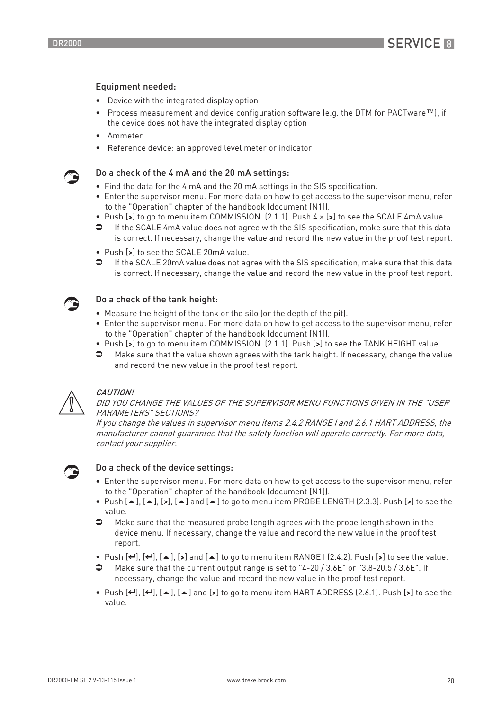#### Equipment needed:

- Device with the integrated display option
- Process measurement and device configuration software (e.g. the DTM for PACTware™), if the device does not have the integrated display option
- Ammeter
- Reference device: an approved level meter or indicator

#### Do a check of the 4 mA and the 20 mA settings:

- Find the data for the 4 mA and the 20 mA settings in the SIS specification.
- Enter the supervisor menu. For more data on how to get access to the supervisor menu, refer to the "Operation" chapter of the handbook (document [N1]).
- Push [>] to go to menu item COMMISSION. (2.1.1). Push 4 × [>] to see the SCALE 4mA value.
- If the SCALE 4mA value does not agree with the SIS specification, make sure that this data is correct. If necessary, change the value and record the new value in the proof test report.
- Push [>] to see the SCALE 20mA value.
- If the SCALE 20mA value does not agree with the SIS specification, make sure that this data is correct. If necessary, change the value and record the new value in the proof test report.

#### Do a check of the tank height:

- Measure the height of the tank or the silo (or the depth of the pit).
- Enter the supervisor menu. For more data on how to get access to the supervisor menu, refer to the "Operation" chapter of the handbook (document [N1]).
- Push [>] to go to menu item COMMISSION. (2.1.1). Push [>] to see the TANK HEIGHT value.
- Make sure that the value shown agrees with the tank height. If necessary, change the value and record the new value in the proof test report.



#### **CAUTION!**

DID YOU CHANGE THE VALUES OF THE SUPERVISOR MENU FUNCTIONS GIVEN IN THE "USER PARAMETERS" SECTIONS?

If you change the values in supervisor menu items 2.4.2 RANGE I and 2.6.1 HART ADDRESS, the manufacturer cannot guarantee that the safety function will operate correctly. For more data, contact your supplier.



#### Do a check of the device settings:

- Enter the supervisor menu. For more data on how to get access to the supervisor menu, refer to the "Operation" chapter of the handbook (document [N1]).
- Push  $[$   $\bullet$  ],  $[$   $\bullet$   $]$ ,  $[$   $\bullet$   $]$  and  $[$   $\bullet$   $]$  to go to menu item PROBE LENGTH (2.3.3). Push  $[$   $\bullet$   $]$  to see the value.
- $\bullet$  Make sure that the measured probe length agrees with the probe length shown in the device menu. If necessary, change the value and record the new value in the proof test report.
- Push  $[\leftarrow]$ ,  $[\leftarrow]$ ,  $[\bullet]$ ,  $[\bullet]$  and  $[\bullet]$  to go to menu item RANGE I (2.4.2). Push  $[\bullet]$  to see the value.
- Make sure that the current output range is set to "4-20 / 3.6E" or "3.8-20.5 / 3.6E". If necessary, change the value and record the new value in the proof test report.
- Push  $[\leftarrow]$ ,  $[\leftarrow]$ ,  $[\leftarrow]$ ,  $[\bullet]$  and  $[\bullet]$  to go to menu item HART ADDRESS (2.6.1). Push  $[\bullet]$  to see the value.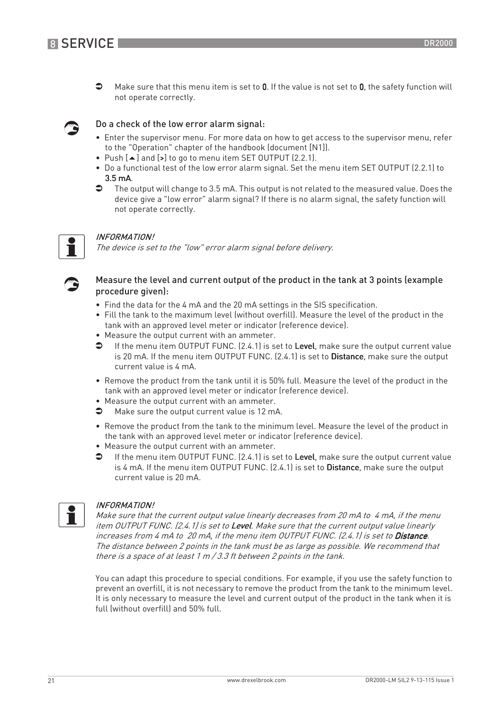

 $\bullet$  Make sure that this menu item is set to 0. If the value is not set to 0, the safety function will not operate correctly.

#### Do a check of the low error alarm signal:

- Enter the supervisor menu. For more data on how to get access to the supervisor menu, refer to the "Operation" chapter of the handbook (document [N1]).
- Push  $[$  and  $[$  >  $]$  to go to menu item SET OUTPUT (2.2.1).
- Do a functional test of the low error alarm signal. Set the menu item SET OUTPUT (2.2.1) to  $3.5$  mA.
- $\bullet$  The output will change to 3.5 mA. This output is not related to the measured value. Does the device give a "low error" alarm signal? If there is no alarm signal, the safety function will not operate correctly.



#### INFORMATION!

The device is set to the "low" error alarm signal before delivery.



#### Measure the level and current output of the product in the tank at 3 points (example procedure given):

- Find the data for the 4 mA and the 20 mA settings in the SIS specification.
- Fill the tank to the maximum level (without overfill). Measure the level of the product in the tank with an approved level meter or indicator (reference device).
- Measure the output current with an ammeter.
- **If the menu item OUTPUT FUNC.** (2.4.1) is set to Level, make sure the output current value is 20 mA. If the menu item OUTPUT FUNC. (2.4.1) is set to Distance, make sure the output current value is 4 mA.
- Remove the product from the tank until it is 50% full. Measure the level of the product in the tank with an approved level meter or indicator (reference device).
- Measure the output current with an ammeter.
- Make sure the output current value is 12 mA.
- Remove the product from the tank to the minimum level. Measure the level of the product in the tank with an approved level meter or indicator (reference device).
- Measure the output current with an ammeter.
- $\bullet$  If the menu item OUTPUT FUNC. (2.4.1) is set to Level, make sure the output current value is 4 mA. If the menu item OUTPUT FUNC. (2.4.1) is set to Distance, make sure the output current value is 20 mA.



#### INFORMATION!

Make sure that the current output value linearly decreases from 20 mA to 4 mA, if the menu item OUTPUT FUNC. (2.4.1) is set to Level. Make sure that the current output value linearly increases from 4 mA to 20 mA, if the menu item OUTPUT FUNC. (2.4.1) is set to Distance. The distance between 2 points in the tank must be as large as possible. We recommend that there is a space of at least 1 <sup>m</sup> / 3.3 ft between 2 points in the tank.

You can adapt this procedure to special conditions. For example, if you use the safety function to prevent an overfill, it is not necessary to remove the product from the tank to the minimum level. It is only necessary to measure the level and current output of the product in the tank when it is full (without overfill) and 50% full.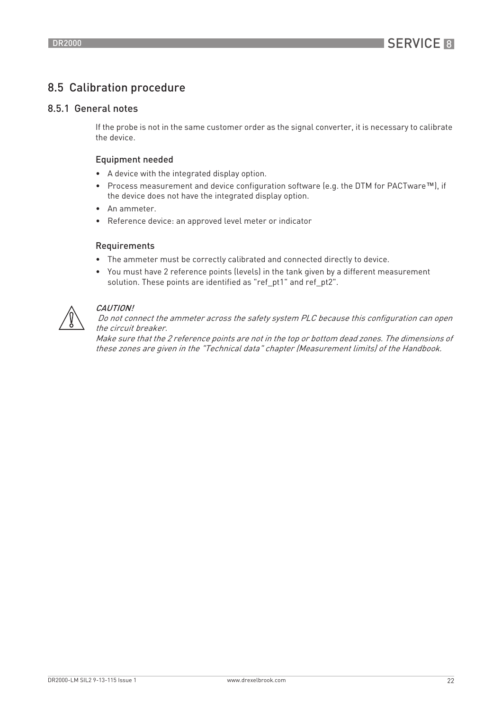## 8.5 Calibration procedure

#### 8.5.1 General notes

If the probe is not in the same customer order as the signal converter, it is necessary to calibrate the device.

#### Equipment needed

- A device with the integrated display option.
- Process measurement and device configuration software (e.g. the DTM for PACTware™), if the device does not have the integrated display option.
- An ammeter.
- Reference device: an approved level meter or indicator

#### Requirements

- The ammeter must be correctly calibrated and connected directly to device.
- You must have 2 reference points (levels) in the tank given by a different measurement solution. These points are identified as "ref\_pt1" and ref\_pt2".



#### CAUTION!

 Do not connect the ammeter across the safety system PLC because this configuration can open the circuit breaker.

Make sure that the 2 reference points are not in the top or bottom dead zones. The dimensions of these zones are given in the "Technical data" chapter (Measurement limits) of the Handbook.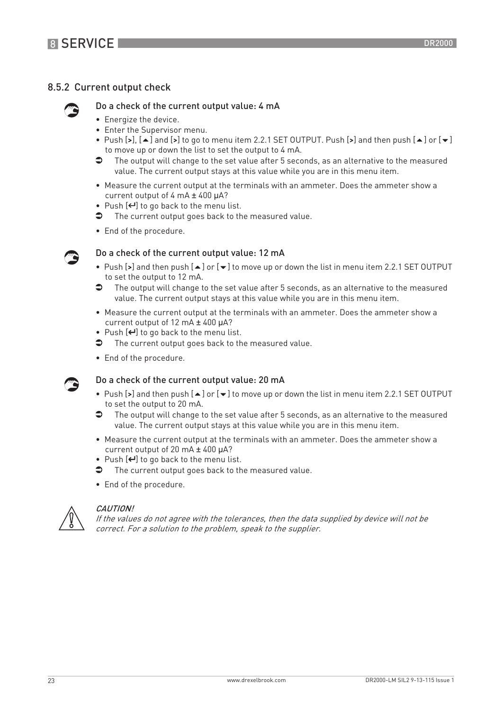### 8.5.2 Current output check



#### Do a check of the current output value: 4 mA

- Energize the device.
- Enter the Supervisor menu.
- Push [>], [ $\blacktriangle$ ] and [>] to go to menu item 2.2.1 SET OUTPUT. Push [>] and then push [ $\blacktriangle$ ] or [ $\blacktriangledown$ ] to move up or down the list to set the output to 4 mA.
- $\bullet$  The output will change to the set value after 5 seconds, as an alternative to the measured value. The current output stays at this value while you are in this menu item.
- Measure the current output at the terminals with an ammeter. Does the ammeter show a current output of 4 mA ± 400 µA?
- Push  $[\leftarrow]$  to go back to the menu list.
- $\bullet$  The current output goes back to the measured value.
- End of the procedure.



#### Do a check of the current output value: 12 mA

- Push [>] and then push  $[$   $\blacktriangle$  ] or  $[$   $\blacktriangledown$  ] to move up or down the list in menu item 2.2.1 SET OUTPUT to set the output to 12 mA.
- $\supset$  The output will change to the set value after 5 seconds, as an alternative to the measured value. The current output stays at this value while you are in this menu item.
- Measure the current output at the terminals with an ammeter. Does the ammeter show a current output of 12 mA ± 400 µA?
- Push  $[$  $\leftrightarrow$   $]$  to go back to the menu list.
- The current output goes back to the measured value.
- End of the procedure.



#### Do a check of the current output value: 20 mA

- Push [>] and then push  $[$   $\blacktriangle$  ] or  $[$   $\blacktriangledown$  ] to move up or down the list in menu item 2.2.1 SET OUTPUT to set the output to 20 mA.
- $\supset$  The output will change to the set value after 5 seconds, as an alternative to the measured value. The current output stays at this value while you are in this menu item.
- Measure the current output at the terminals with an ammeter. Does the ammeter show a current output of 20 mA ± 400 µA?
- Push  $[\leftarrow]$  to go back to the menu list.
- $\bullet$  The current output goes back to the measured value.
- End of the procedure.



#### CAUTION!

If the values do not agree with the tolerances, then the data supplied by device will not be correct. For a solution to the problem, speak to the supplier.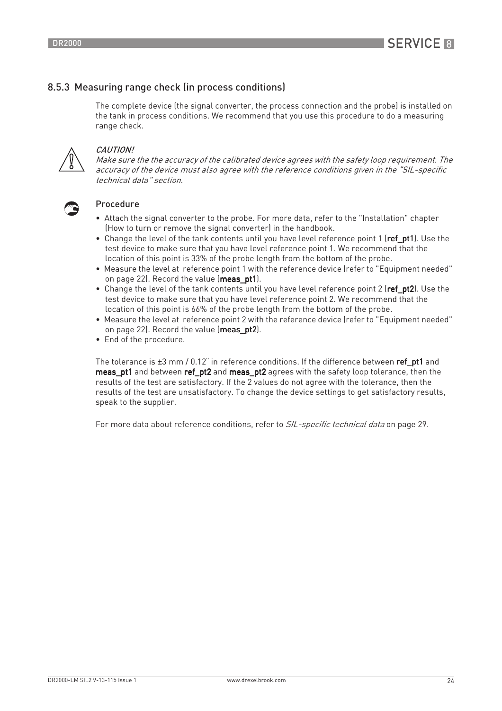### 8.5.3 Measuring range check (in process conditions)

The complete device (the signal converter, the process connection and the probe) is installed on the tank in process conditions. We recommend that you use this procedure to do a measuring range check.



#### CAUTION!

Make sure the the accuracy of the calibrated device agrees with the safety loop requirement. The accuracy of the device must also agree with the reference conditions given in the "SIL-specific technical data" section.



#### Procedure

- Attach the signal converter to the probe. For more data, refer to the "Installation" chapter (How to turn or remove the signal converter) in the handbook.
- Change the level of the tank contents until you have level reference point 1 (ref\_pt1). Use the test device to make sure that you have level reference point 1. We recommend that the location of this point is 33% of the probe length from the bottom of the probe.
- Measure the level at reference point 1 with the reference device (refer to "Equipment needed" on page 22). Record the value (meas pt1).
- Change the level of the tank contents until you have level reference point 2 (ref\_pt2). Use the test device to make sure that you have level reference point 2. We recommend that the location of this point is 66% of the probe length from the bottom of the probe.
- Measure the level at reference point 2 with the reference device (refer to "Equipment needed" on page 22). Record the value (meas pt2).
- End of the procedure.

The tolerance is  $\pm 3$  mm / 0.12" in reference conditions. If the difference between ref\_pt1 and meas pt1 and between ref\_pt2 and meas\_pt2 agrees with the safety loop tolerance, then the results of the test are satisfactory. If the 2 values do not agree with the tolerance, then the results of the test are unsatisfactory. To change the device settings to get satisfactory results, speak to the supplier.

For more data about reference conditions, refer to SIL-specific technical data on page 29.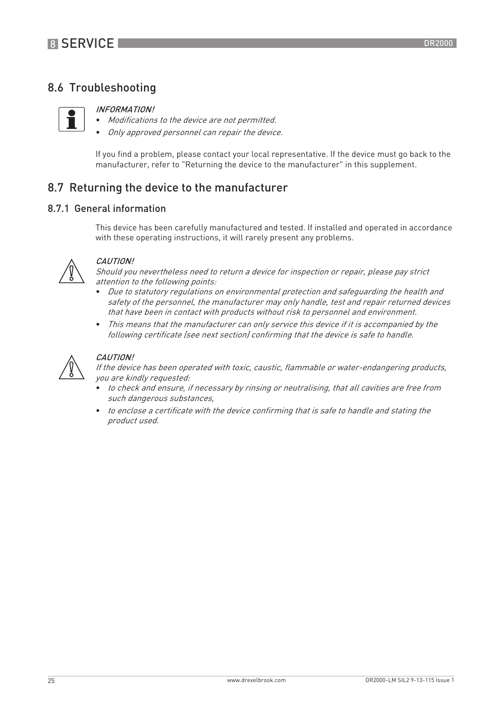## 8.6 Troubleshooting



#### INFORMATION!

- Modifications to the device are not permitted.
- Only approved personnel can repair the device.

If you find a problem, please contact your local representative. If the device must go back to the manufacturer, refer to "Returning the device to the manufacturer" in this supplement.

### 8.7 Returning the device to the manufacturer

#### 8.7.1 General information

This device has been carefully manufactured and tested. If installed and operated in accordance with these operating instructions, it will rarely present any problems.



#### CAUTION!

Should you nevertheless need to return a device for inspection or repair, please pay strict attention to the following points:

- Due to statutory regulations on environmental protection and safeguarding the health and safety of the personnel, the manufacturer may only handle, test and repair returned devices that have been in contact with products without risk to personnel and environment.
- This means that the manufacturer can only service this device if it is accompanied by the following certificate (see next section) confirming that the device is safe to handle.



#### CAUTION!

If the device has been operated with toxic, caustic, flammable or water-endangering products, you are kindly requested:

- to check and ensure, if necessary by rinsing or neutralising, that all cavities are free from such dangerous substances,
- to enclose a certificate with the device confirming that is safe to handle and stating the product used.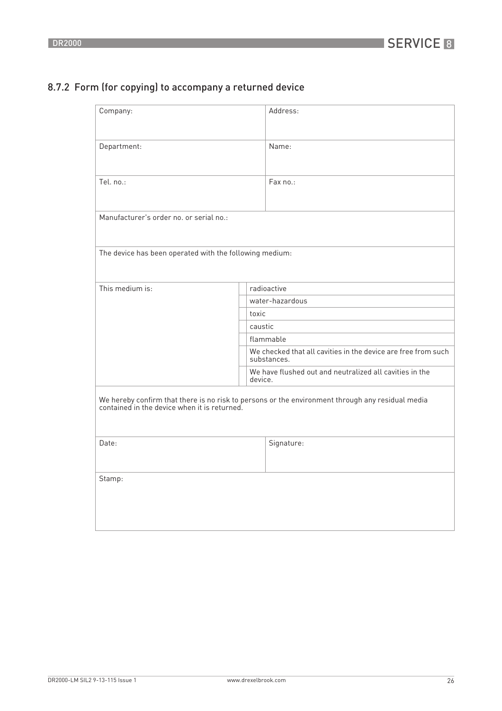## 8.7.2 Form (for copying) to accompany a returned device

| Company:                                                |         | Address:                                                                                                                                         |  |
|---------------------------------------------------------|---------|--------------------------------------------------------------------------------------------------------------------------------------------------|--|
| Department:                                             |         | Name:                                                                                                                                            |  |
| Tel. no.:                                               |         | Fax no.:                                                                                                                                         |  |
| Manufacturer's order no, or serial no.:                 |         |                                                                                                                                                  |  |
| The device has been operated with the following medium: |         |                                                                                                                                                  |  |
| This medium is:                                         |         | radioactive                                                                                                                                      |  |
|                                                         |         | water-hazardous                                                                                                                                  |  |
|                                                         | toxic   |                                                                                                                                                  |  |
|                                                         | caustic |                                                                                                                                                  |  |
|                                                         |         | flammable                                                                                                                                        |  |
|                                                         |         | We checked that all cavities in the device are free from such<br>substances.                                                                     |  |
|                                                         | device. | We have flushed out and neutralized all cavities in the                                                                                          |  |
|                                                         |         | We hereby confirm that there is no risk to persons or the environment through any residual media<br>contained in the device when it is returned. |  |
| Date:                                                   |         | Signature:                                                                                                                                       |  |
| Stamp:                                                  |         |                                                                                                                                                  |  |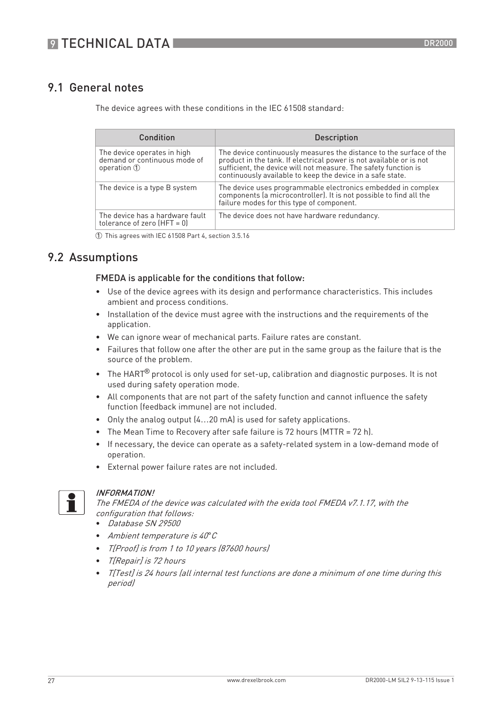## 9.1 General notes

The device agrees with these conditions in the IEC 61508 standard:

| Condition                                                                             | Description                                                                                                                                                                                                                                                                 |
|---------------------------------------------------------------------------------------|-----------------------------------------------------------------------------------------------------------------------------------------------------------------------------------------------------------------------------------------------------------------------------|
| The device operates in high<br>demand or continuous mode of<br>operation $\mathbb{O}$ | The device continuously measures the distance to the surface of the<br>product in the tank. If electrical power is not available or is not<br>sufficient, the device will not measure. The safety function is<br>continuously available to keep the device in a safe state. |
| The device is a type B system                                                         | The device uses programmable electronics embedded in complex<br>components (a microcontroller). It is not possible to find all the<br>failure modes for this type of component.                                                                                             |
| The device has a hardware fault<br>tolerance of zero $(HFT = 0)$                      | The device does not have hardware redundancy.                                                                                                                                                                                                                               |

1 This agrees with IEC 61508 Part 4, section 3.5.16

## 9.2 Assumptions

#### FMEDA is applicable for the conditions that follow:

- Use of the device agrees with its design and performance characteristics. This includes ambient and process conditions.
- Installation of the device must agree with the instructions and the requirements of the application.
- We can ignore wear of mechanical parts. Failure rates are constant.
- Failures that follow one after the other are put in the same group as the failure that is the source of the problem.
- $\bullet$  The HART $^\circledR$  protocol is only used for set-up, calibration and diagnostic purposes. It is not used during safety operation mode.
- All components that are not part of the safety function and cannot influence the safety function (feedback immune) are not included.
- Only the analog output (4…20 mA) is used for safety applications.
- The Mean Time to Recovery after safe failure is 72 hours (MTTR = 72 h).
- If necessary, the device can operate as a safety-related system in a low-demand mode of operation.
- External power failure rates are not included.



#### INFORMATION!

The FMEDA of the device was calculated with the exida tool FMEDA v7.1.17, with the configuration that follows:

- Database SN 29500
- Ambient temperature is 40*°*C
- T[Proof] is from 1 to 10 years (87600 hours)
- T[Repair] is 72 hours
- T[Test] is 24 hours (all internal test functions are done a minimum of one time during this period)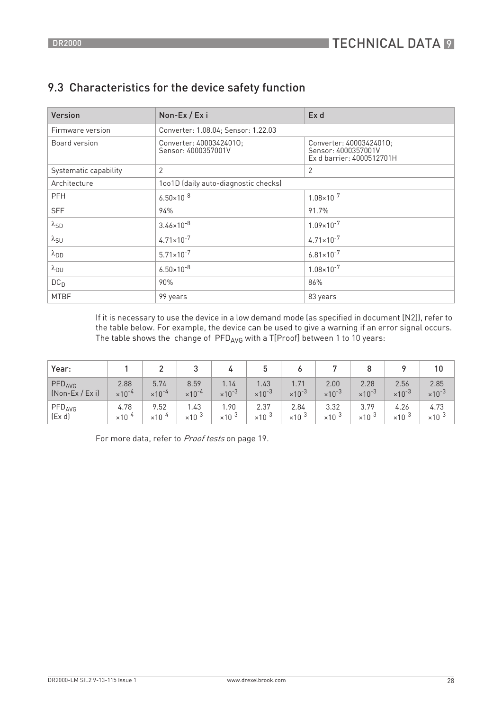| Version               | Non-Ex / Exi                                   | Ex d                                                                        |  |
|-----------------------|------------------------------------------------|-----------------------------------------------------------------------------|--|
| Firmware version      | Converter: 1.08.04; Sensor: 1.22.03            |                                                                             |  |
| Board version         | Converter: 40003424010;<br>Sensor: 4000357001V | Converter: 40003424010;<br>Sensor: 4000357001V<br>Ex d barrier: 4000512701H |  |
| Systematic capability | $\overline{2}$                                 | 2                                                                           |  |
| Architecture          | 1001D (daily auto-diagnostic checks)           |                                                                             |  |
| <b>PFH</b>            | $6.50 \times 10^{-8}$                          | $1.08 \times 10^{-7}$                                                       |  |
| <b>SFF</b>            | 94%                                            | 91.7%                                                                       |  |
| $\lambda_{SD}$        | $3.46 \times 10^{-8}$                          | $1.09 \times 10^{-7}$                                                       |  |
| $\lambda_{\text{SU}}$ | $4.71 \times 10^{-7}$                          | $4.71 \times 10^{-7}$                                                       |  |
| $\lambda_{DD}$        | $5.71 \times 10^{-7}$                          | $6.81 \times 10^{-7}$                                                       |  |
| $\lambda_{DU}$        | $6.50 \times 10^{-8}$                          | $1.08 \times 10^{-7}$                                                       |  |
| DC <sub>D</sub>       | 90%                                            | 86%                                                                         |  |
| <b>MTBF</b>           | 99 years                                       | 83 years                                                                    |  |

## 9.3 Characteristics for the device safety function

If it is necessary to use the device in a low demand mode (as specified in document [N2]), refer to the table below. For example, the device can be used to give a warning if an error signal occurs. The table shows the change of  $\text{PFD}_{\text{AVG}}$  with a T[Proof] between 1 to 10 years:

| Year:              |                           |                           |                           |                  | ა                         | о                         |                           |                           |                           | 10                        |
|--------------------|---------------------------|---------------------------|---------------------------|------------------|---------------------------|---------------------------|---------------------------|---------------------------|---------------------------|---------------------------|
| PFD <sub>AVG</sub> | 2.88                      | 5.74                      | 8.59                      | 1.14             | 1.43                      | 1.71                      | 2.00                      | 2.28                      | 2.56                      | 2.85                      |
| $(Non-Ex / Ex i)$  | $\times$ 10 <sup>-4</sup> | $\times$ 10 <sup>-4</sup> | $\times$ 10 <sup>-4</sup> | $\times 10^{-3}$ | $\times$ 10 <sup>-3</sup> | $\times$ 10 <sup>-3</sup> | $\times$ 10 <sup>-3</sup> | $\times$ 10 <sup>-3</sup> | $\times$ 10 <sup>-3</sup> | $\times$ 10 <sup>-3</sup> |
| PFD <sub>AVG</sub> | 4.78                      | 9.52                      | 1.43                      | .90              | 2.37                      | 2.84                      | 3.32                      | 3.79                      | 4.26                      | 4.73                      |
| (Ex d)             | $\times$ 10 <sup>-4</sup> | $\times10^{-4}$           | $\times 10^{-3}$          | $\times 10^{-3}$ | $\times$ 10 <sup>-3</sup> | $\times$ 10 <sup>-3</sup> | $\times$ 10 <sup>-3</sup> | $\times 10^{-3}$          | $\times 10^{-3}$          | $\times 10^{-3}$          |

For more data, refer to Proof tests on page 19.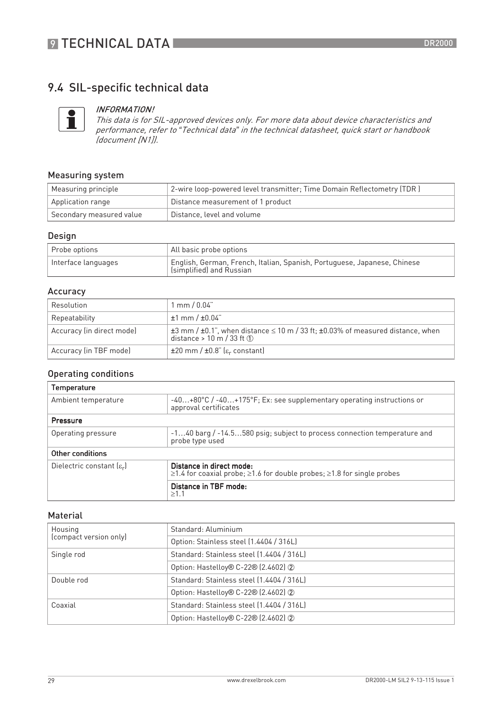## 9.4 SIL-specific technical data



#### INFORMATION!

This data is for SIL-approved devices only. For more data about device characteristics and performance, refer to *"*Technical data*"* in the technical datasheet, quick start or handbook (document [N1]).

#### Measuring system

| Measuring principle      | 2-wire loop-powered level transmitter; Time Domain Reflectometry (TDR) |
|--------------------------|------------------------------------------------------------------------|
| Application range        | Distance measurement of 1 product                                      |
| Secondary measured value | Distance, level and volume                                             |

#### Design

| Probe options       | All basic probe options                                                                              |
|---------------------|------------------------------------------------------------------------------------------------------|
| Interface languages | English, German, French, Italian, Spanish, Portuguese, Japanese, Chinese<br>(simplified) and Russian |

#### Accuracy

| Resolution                | $\mid$ mm / 0.04"                                                                                                                                            |
|---------------------------|--------------------------------------------------------------------------------------------------------------------------------------------------------------|
| Repeatability             | $±1$ mm $/±0.04$ "                                                                                                                                           |
| Accuracy (in direct mode) | $\pm$ 3 mm / $\pm$ 0.1", when distance $\leq$ 10 m / 33 ft; $\pm$ 0.03% of measured distance, when<br>distance > 10 m / 33 ft $\textcircled{\scriptsize{1}}$ |
| Accuracy (in TBF mode)    | $\pm 20$ mm / $\pm 0.8$ " ( $\varepsilon_r$ constant)                                                                                                        |

#### Operating conditions

| Temperature                           |                                                                                                                      |  |
|---------------------------------------|----------------------------------------------------------------------------------------------------------------------|--|
| Ambient temperature                   | -40+80°C / -40+175°F; Ex: see supplementary operating instructions or<br>approval certificates                       |  |
| Pressure                              |                                                                                                                      |  |
| Operating pressure                    | -140 barg / -14.5580 psig; subject to process connection temperature and<br>probe type used                          |  |
| Other conditions                      |                                                                                                                      |  |
| Dielectric constant $[\varepsilon_r]$ | Distance in direct mode:<br>$\geq$ 1.4 for coaxial probe; $\geq$ 1.6 for double probes; $\geq$ 1.8 for single probes |  |
|                                       | Distance in TBF mode:<br>>1.1                                                                                        |  |

#### Material

| Housing<br>(compact version only) | Standard: Aluminium                       |
|-----------------------------------|-------------------------------------------|
|                                   | Option: Stainless steel (1.4404 / 316L)   |
| Single rod                        | Standard: Stainless steel (1.4404 / 316L) |
|                                   | Option: Hastelloy® C-22® (2.4602) 2       |
| Double rod                        | Standard: Stainless steel (1.4404 / 316L) |
|                                   | Option: Hastelloy® C-22® (2.4602) 2       |
| Coaxial                           | Standard: Stainless steel (1.4404 / 316L) |
|                                   | Option: Hastelloy® C-22® (2.4602) 2       |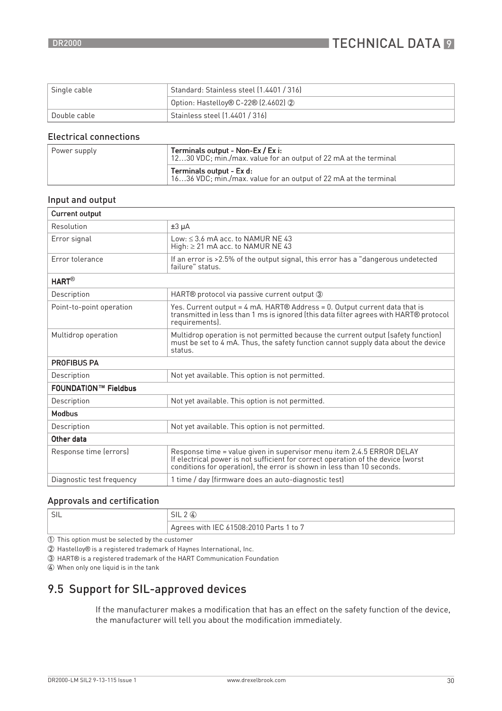| Single cable | Standard: Stainless steel [1.4401 / 316] |
|--------------|------------------------------------------|
|              | Option: Hastelloy® C-22® (2.4602) 2      |
| Double cable | Stainless steel (1.4401 / 316)           |

#### Electrical connections

| Power supply | Terminals output - Non-Ex / Ex i:<br>1230 VDC; min./max. value for an output of 22 mA at the terminal |
|--------------|-------------------------------------------------------------------------------------------------------|
|              | Terminals output - Ex d:<br>$\mid$ 1636 VDC; min./max. value for an output of 22 mA at the terminal   |

#### Input and output

| <b>Current output</b>       |                                                                                                                                                                                                                                     |
|-----------------------------|-------------------------------------------------------------------------------------------------------------------------------------------------------------------------------------------------------------------------------------|
| Resolution                  | $±3 \mu A$                                                                                                                                                                                                                          |
| Error signal                | Low: $\leq$ 3.6 mA acc. to NAMUR NE 43<br>High: $\geq$ 21 mA acc. to NAMUR NE 43                                                                                                                                                    |
| <b>Error tolerance</b>      | If an error is >2.5% of the output signal, this error has a "dangerous undetected<br>failure" status.                                                                                                                               |
| <b>HART®</b>                |                                                                                                                                                                                                                                     |
| Description                 | HART® protocol via passive current output 3                                                                                                                                                                                         |
| Point-to-point operation    | Yes. Current output = 4 mA. HART® Address = 0. Output current data that is<br>transmitted in less than 1 ms is ignored (this data filter agrees with HART® protocol<br>requirements).                                               |
| Multidrop operation         | Multidrop operation is not permitted because the current output (safety function)<br>must be set to 4 mA. Thus, the safety function cannot supply data about the device<br>status.                                                  |
| <b>PROFIBUS PA</b>          |                                                                                                                                                                                                                                     |
| Description                 | Not yet available. This option is not permitted.                                                                                                                                                                                    |
| <b>FOUNDATION™ Fieldbus</b> |                                                                                                                                                                                                                                     |
| Description                 | Not yet available. This option is not permitted.                                                                                                                                                                                    |
| <b>Modbus</b>               |                                                                                                                                                                                                                                     |
| Description                 | Not yet available. This option is not permitted.                                                                                                                                                                                    |
| Other data                  |                                                                                                                                                                                                                                     |
| Response time (errors)      | Response time = value given in supervisor menu item 2.4.5 ERROR DELAY<br>If electrical power is not sufficient for correct operation of the device (worst<br>conditions for operation), the error is shown in less than 10 seconds. |
| Diagnostic test frequency   | 1 time / day (firmware does an auto-diagnostic test)                                                                                                                                                                                |

#### Approvals and certification

| $\Gamma$<br>۱۱ ل | $\sim$ 11<br>5IL.<br>∸                  |
|------------------|-----------------------------------------|
|                  | Agrees with IEC 61508:2010 Parts 1 to 7 |

1 This option must be selected by the customer

2 Hastelloy® is a registered trademark of Haynes International, Inc.

3 HART® is a registered trademark of the HART Communication Foundation

4 When only one liquid is in the tank

## 9.5 Support for SIL-approved devices

If the manufacturer makes a modification that has an effect on the safety function of the device, the manufacturer will tell you about the modification immediately.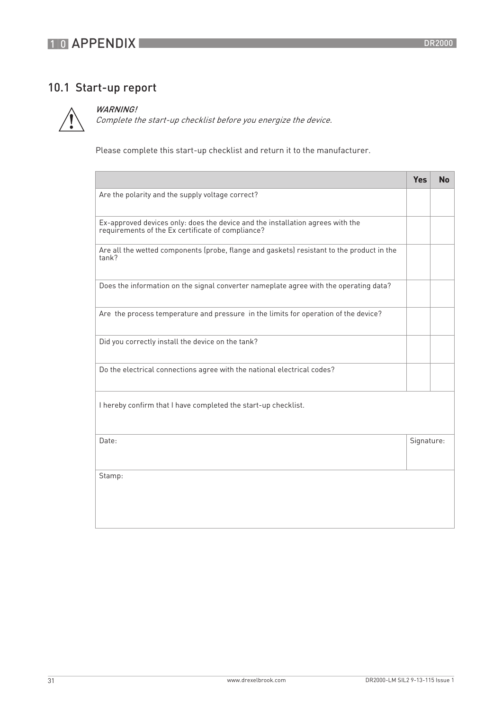## 10 APPENDIX

## 10.1 Start-up report



#### WARNING!

Complete the start-up checklist before you energize the device.

Please complete this start-up checklist and return it to the manufacturer.

|                                                                                                                                     | <b>Yes</b> | <b>No</b> |
|-------------------------------------------------------------------------------------------------------------------------------------|------------|-----------|
| Are the polarity and the supply voltage correct?                                                                                    |            |           |
| Ex-approved devices only: does the device and the installation agrees with the<br>requirements of the Ex certificate of compliance? |            |           |
| Are all the wetted components (probe, flange and gaskets) resistant to the product in the<br>tank?                                  |            |           |
| Does the information on the signal converter nameplate agree with the operating data?                                               |            |           |
| Are the process temperature and pressure in the limits for operation of the device?                                                 |            |           |
| Did you correctly install the device on the tank?                                                                                   |            |           |
| Do the electrical connections agree with the national electrical codes?                                                             |            |           |
| I hereby confirm that I have completed the start-up checklist.                                                                      |            |           |
| Date:                                                                                                                               | Signature: |           |
| Stamp:                                                                                                                              |            |           |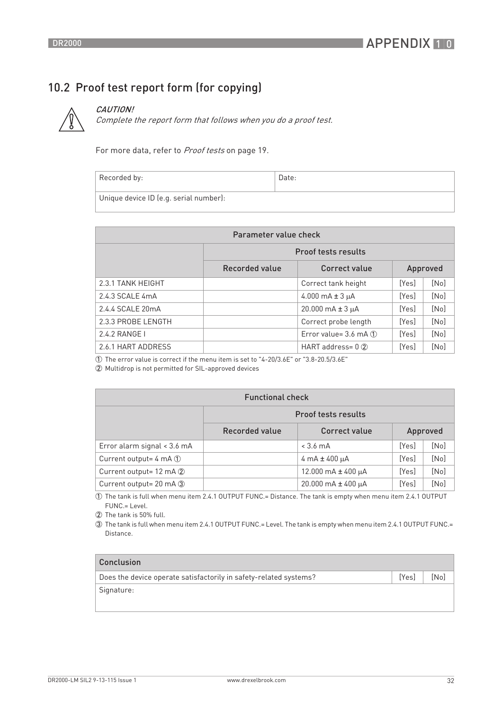## 10.2 Proof test report form (for copying)



## CAUTION!

Complete the report form that follows when you do a proof test.

For more data, refer to Proof tests on page 19.

| Recorded by:                           | Date: |
|----------------------------------------|-------|
| Unique device ID (e.g. serial number): |       |

| Parameter value check |                |                                 |          |      |  |  |  |  |  |  |  |  |  |
|-----------------------|----------------|---------------------------------|----------|------|--|--|--|--|--|--|--|--|--|
|                       |                | <b>Proof tests results</b>      |          |      |  |  |  |  |  |  |  |  |  |
|                       | Recorded value | Correct value                   | Approved |      |  |  |  |  |  |  |  |  |  |
| 2.3.1 TANK HEIGHT     |                | Correct tank height             | [Yes]    | [No] |  |  |  |  |  |  |  |  |  |
| 2.4.3 SCALE 4mA       |                | 4.000 mA $\pm$ 3 µA             | [Yes]    | [No] |  |  |  |  |  |  |  |  |  |
| 2.4.4 SCALE 20mA      |                | $20.000 \text{ mA} \pm 3 \mu$ A | [Yes]    | [No] |  |  |  |  |  |  |  |  |  |
| 2.3.3 PROBE LENGTH    |                | Correct probe length            | [Yes]    | [No] |  |  |  |  |  |  |  |  |  |
| 2.4.2 RANGE I         |                | Error value= 3.6 mA 1           | [Yes]    | [No] |  |  |  |  |  |  |  |  |  |
| 2.6.1 HART ADDRESS    |                | HART address= $0$ $(2)$         | [Yes]    | [No] |  |  |  |  |  |  |  |  |  |

 $\overline{10}$  The error value is correct if the menu item is set to "4-20/3.6E" or "3.8-20.5/3.6E"

2 Multidrop is not permitted for SIL-approved devices

| <b>Functional check</b>            |                            |                                           |       |      |  |  |  |  |  |  |  |  |  |
|------------------------------------|----------------------------|-------------------------------------------|-------|------|--|--|--|--|--|--|--|--|--|
|                                    | <b>Proof tests results</b> |                                           |       |      |  |  |  |  |  |  |  |  |  |
|                                    | Recorded value             | Correct value<br>Approved                 |       |      |  |  |  |  |  |  |  |  |  |
| Error alarm signal < 3.6 mA        |                            | $< 3.6 \text{ mA}$                        | [Yes] | [No] |  |  |  |  |  |  |  |  |  |
| Current output= $4 \text{ mA}$ (1) |                            | $4 \text{ mA} \pm 400 \text{ \mu A}$      | [Yes] | [No] |  |  |  |  |  |  |  |  |  |
| Current output= 12 mA 2            |                            | 12.000 mA $\pm$ 400 µA                    | [Yes] | [No] |  |  |  |  |  |  |  |  |  |
| Current output= 20 mA 3            |                            | $20.000 \text{ mA} \pm 400 \text{ \mu A}$ | [Yes] | [No] |  |  |  |  |  |  |  |  |  |

1 The tank is full when menu item 2.4.1 OUTPUT FUNC.= Distance. The tank is empty when menu item 2.4.1 OUTPUT FUNC.= Level.

2 The tank is 50% full.

3 The tank is full when menu item 2.4.1 OUTPUT FUNC.= Level. The tank is empty when menu item 2.4.1 OUTPUT FUNC.= Distance.

| Conclusion                                                        |       |      |
|-------------------------------------------------------------------|-------|------|
| Does the device operate satisfactorily in safety-related systems? | [Yes] | [No] |
| Signature:                                                        |       |      |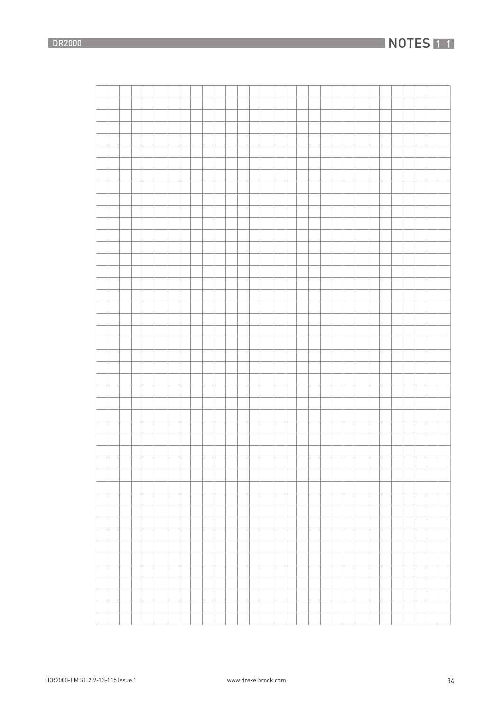